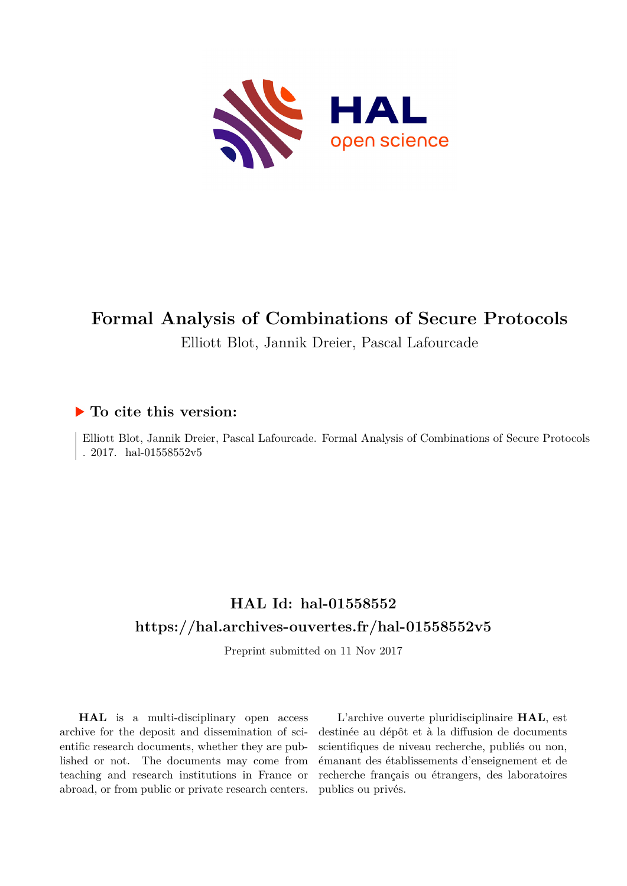

# **Formal Analysis of Combinations of Secure Protocols**

Elliott Blot, Jannik Dreier, Pascal Lafourcade

# **To cite this version:**

Elliott Blot, Jannik Dreier, Pascal Lafourcade. Formal Analysis of Combinations of Secure Protocols . 2017. hal-01558552 $v5$ 

# **HAL Id: hal-01558552 <https://hal.archives-ouvertes.fr/hal-01558552v5>**

Preprint submitted on 11 Nov 2017

**HAL** is a multi-disciplinary open access archive for the deposit and dissemination of scientific research documents, whether they are published or not. The documents may come from teaching and research institutions in France or abroad, or from public or private research centers.

L'archive ouverte pluridisciplinaire **HAL**, est destinée au dépôt et à la diffusion de documents scientifiques de niveau recherche, publiés ou non, émanant des établissements d'enseignement et de recherche français ou étrangers, des laboratoires publics ou privés.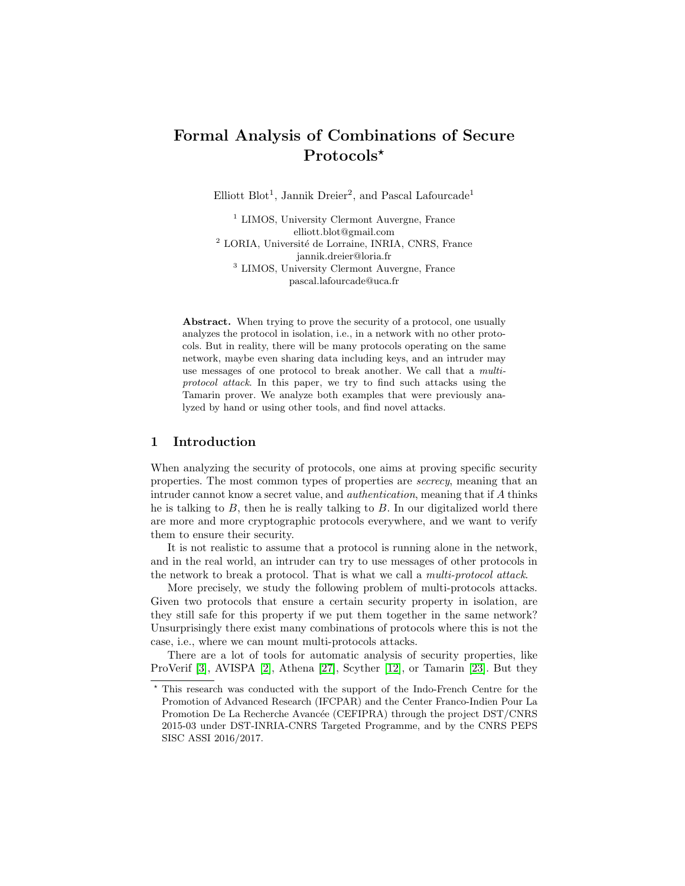# Formal Analysis of Combinations of Secure Protocols\*

Elliott Blot<sup>1</sup>, Jannik Dreier<sup>2</sup>, and Pascal Lafourcade<sup>1</sup>

<sup>1</sup> LIMOS, University Clermont Auvergne, France elliott.blot@gmail.com <sup>2</sup> LORIA, Université de Lorraine, INRIA, CNRS, France jannik.dreier@loria.fr <sup>3</sup> LIMOS, University Clermont Auvergne, France pascal.lafourcade@uca.fr

Abstract. When trying to prove the security of a protocol, one usually analyzes the protocol in isolation, i.e., in a network with no other protocols. But in reality, there will be many protocols operating on the same network, maybe even sharing data including keys, and an intruder may use messages of one protocol to break another. We call that a multiprotocol attack. In this paper, we try to find such attacks using the Tamarin prover. We analyze both examples that were previously analyzed by hand or using other tools, and find novel attacks.

# 1 Introduction

When analyzing the security of protocols, one aims at proving specific security properties. The most common types of properties are secrecy, meaning that an intruder cannot know a secret value, and authentication, meaning that if A thinks he is talking to  $B$ , then he is really talking to  $B$ . In our digitalized world there are more and more cryptographic protocols everywhere, and we want to verify them to ensure their security.

It is not realistic to assume that a protocol is running alone in the network, and in the real world, an intruder can try to use messages of other protocols in the network to break a protocol. That is what we call a multi-protocol attack.

More precisely, we study the following problem of multi-protocols attacks. Given two protocols that ensure a certain security property in isolation, are they still safe for this property if we put them together in the same network? Unsurprisingly there exist many combinations of protocols where this is not the case, i.e., where we can mount multi-protocols attacks.

There are a lot of tools for automatic analysis of security properties, like ProVerif [3], AVISPA [2], Athena [27], Scyther [12], or Tamarin [23]. But they

<sup>?</sup> This research was conducted with the support of the Indo-French Centre for the Promotion of Advanced Research (IFCPAR) and the Center Franco-Indien Pour La Promotion De La Recherche Avancée (CEFIPRA) through the project DST/CNRS 2015-03 under DST-INRIA-CNRS Targeted Programme, and by the CNRS PEPS SISC ASSI 2016/2017.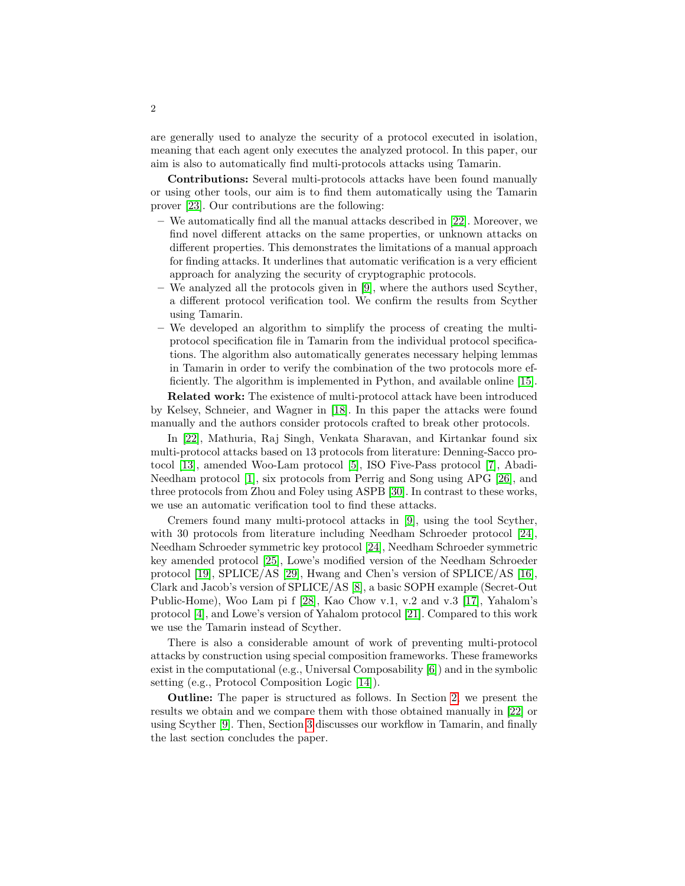are generally used to analyze the security of a protocol executed in isolation, meaning that each agent only executes the analyzed protocol. In this paper, our aim is also to automatically find multi-protocols attacks using Tamarin.

Contributions: Several multi-protocols attacks have been found manually or using other tools, our aim is to find them automatically using the Tamarin prover [23]. Our contributions are the following:

- We automatically find all the manual attacks described in [22]. Moreover, we find novel different attacks on the same properties, or unknown attacks on different properties. This demonstrates the limitations of a manual approach for finding attacks. It underlines that automatic verification is a very efficient approach for analyzing the security of cryptographic protocols.
- We analyzed all the protocols given in [9], where the authors used Scyther, a different protocol verification tool. We confirm the results from Scyther using Tamarin.
- We developed an algorithm to simplify the process of creating the multiprotocol specification file in Tamarin from the individual protocol specifications. The algorithm also automatically generates necessary helping lemmas in Tamarin in order to verify the combination of the two protocols more efficiently. The algorithm is implemented in Python, and available online [15].

Related work: The existence of multi-protocol attack have been introduced by Kelsey, Schneier, and Wagner in [18]. In this paper the attacks were found manually and the authors consider protocols crafted to break other protocols.

In [22], Mathuria, Raj Singh, Venkata Sharavan, and Kirtankar found six multi-protocol attacks based on 13 protocols from literature: Denning-Sacco protocol [13], amended Woo-Lam protocol [5], ISO Five-Pass protocol [7], Abadi-Needham protocol [1], six protocols from Perrig and Song using APG [26], and three protocols from Zhou and Foley using ASPB [30]. In contrast to these works, we use an automatic verification tool to find these attacks.

Cremers found many multi-protocol attacks in [9], using the tool Scyther, with 30 protocols from literature including Needham Schroeder protocol [24], Needham Schroeder symmetric key protocol [24], Needham Schroeder symmetric key amended protocol [25], Lowe's modified version of the Needham Schroeder protocol [19], SPLICE/AS [29], Hwang and Chen's version of SPLICE/AS [16], Clark and Jacob's version of SPLICE/AS [8], a basic SOPH example (Secret-Out Public-Home), Woo Lam pi f [28], Kao Chow v.1, v.2 and v.3 [17], Yahalom's protocol [4], and Lowe's version of Yahalom protocol [21]. Compared to this work we use the Tamarin instead of Scyther.

There is also a considerable amount of work of preventing multi-protocol attacks by construction using special composition frameworks. These frameworks exist in the computational (e.g., Universal Composability [6]) and in the symbolic setting (e.g., Protocol Composition Logic [14]).

Outline: The paper is structured as follows. In Section 2, we present the results we obtain and we compare them with those obtained manually in [22] or using Scyther [9]. Then, Section 3 discusses our workflow in Tamarin, and finally the last section concludes the paper.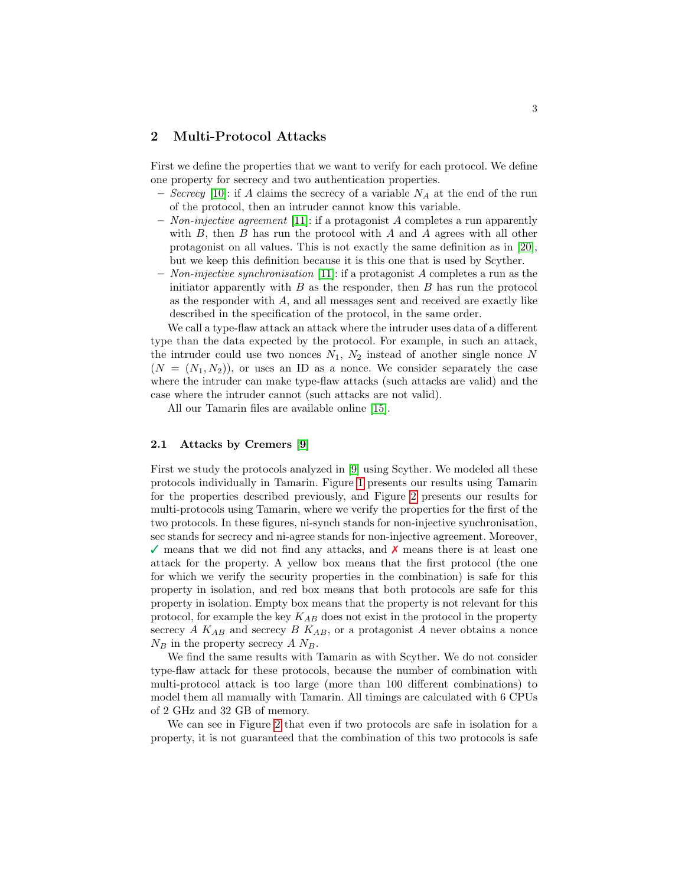# 2 Multi-Protocol Attacks

First we define the properties that we want to verify for each protocol. We define one property for secrecy and two authentication properties.

- Secrecy [10]: if A claims the secrecy of a variable  $N_A$  at the end of the run of the protocol, then an intruder cannot know this variable.
- Non-injective agreement [11]: if a protagonist A completes a run apparently with  $B$ , then  $B$  has run the protocol with  $A$  and  $A$  agrees with all other protagonist on all values. This is not exactly the same definition as in [20], but we keep this definition because it is this one that is used by Scyther.
- Non-injective synchronisation [11]: if a protagonist A completes a run as the initiator apparently with  $B$  as the responder, then  $B$  has run the protocol as the responder with  $A$ , and all messages sent and received are exactly like described in the specification of the protocol, in the same order.

We call a type-flaw attack an attack where the intruder uses data of a different type than the data expected by the protocol. For example, in such an attack, the intruder could use two nonces  $N_1$ ,  $N_2$  instead of another single nonce N  $(N = (N_1, N_2))$ , or uses an ID as a nonce. We consider separately the case where the intruder can make type-flaw attacks (such attacks are valid) and the case where the intruder cannot (such attacks are not valid).

All our Tamarin files are available online [15].

#### 2.1 Attacks by Cremers [9]

First we study the protocols analyzed in [9] using Scyther. We modeled all these protocols individually in Tamarin. Figure 1 presents our results using Tamarin for the properties described previously, and Figure 2 presents our results for multi-protocols using Tamarin, where we verify the properties for the first of the two protocols. In these figures, ni-synch stands for non-injective synchronisation, sec stands for secrecy and ni-agree stands for non-injective agreement. Moreover,  $\checkmark$  means that we did not find any attacks, and  $\checkmark$  means there is at least one attack for the property. A yellow box means that the first protocol (the one for which we verify the security properties in the combination) is safe for this property in isolation, and red box means that both protocols are safe for this property in isolation. Empty box means that the property is not relevant for this protocol, for example the key  $K_{AB}$  does not exist in the protocol in the property secrecy A  $K_{AB}$  and secrecy B  $K_{AB}$ , or a protagonist A never obtains a nonce  $N_B$  in the property secrecy A  $N_B$ .

We find the same results with Tamarin as with Scyther. We do not consider type-flaw attack for these protocols, because the number of combination with multi-protocol attack is too large (more than 100 different combinations) to model them all manually with Tamarin. All timings are calculated with 6 CPUs of 2 GHz and 32 GB of memory.

We can see in Figure 2 that even if two protocols are safe in isolation for a property, it is not guaranteed that the combination of this two protocols is safe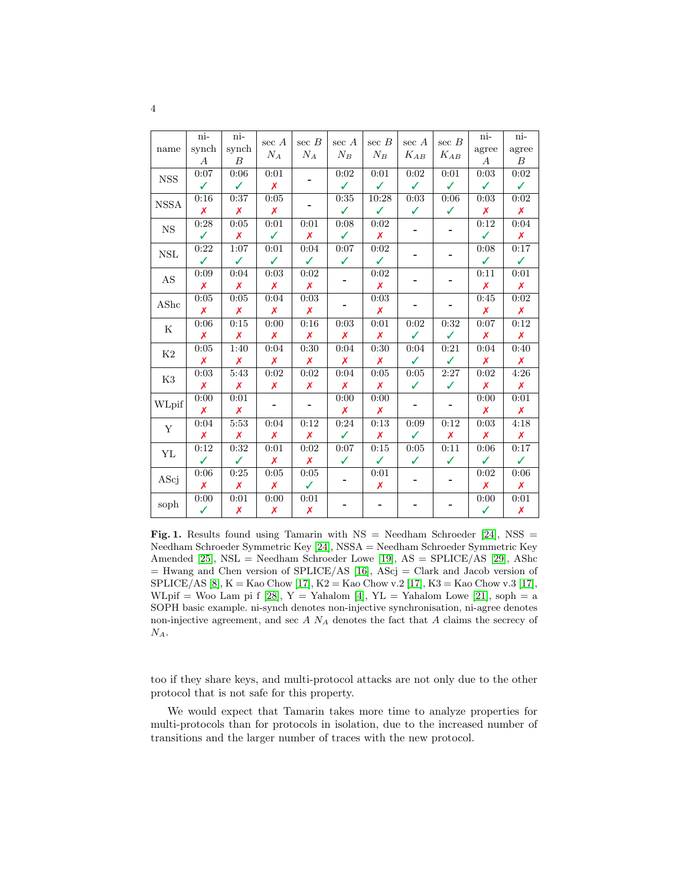|                        | ni-                | ni-                | $\sec A$           | sec B              | $\sec A$     | $sec\ B$           | sec A                    | sec $\cal B$                 | $_{\rm ni-}$       | $n$ i-             |
|------------------------|--------------------|--------------------|--------------------|--------------------|--------------|--------------------|--------------------------|------------------------------|--------------------|--------------------|
| name                   | synch              | synch              |                    | $N_A$              |              |                    | $K_{AB}$                 |                              | agree              | agree              |
|                        | $\boldsymbol{A}$   | $\boldsymbol{B}$   | $\mathcal{N}_A$    |                    | $N_B$        | $N_B$              |                          | $K_{AB}$                     | $\boldsymbol{A}$   | $\boldsymbol{B}$   |
| $_{\rm NSS}$           | 0:07               | 0:06               | 0:01               |                    | 0:02         | 0:01               | 0:02                     | 0:01                         | 0:03               | 0:02               |
|                        | ✓                  | ✓                  | X                  |                    | ✓            | ✓                  | ✓                        | ✓                            | ✓                  | ✓                  |
|                        | 0:16               | 0:37               | 0:05               |                    | 0:35         | 10:28              | 0:03                     | 0:06                         | 0:03               | 0:02               |
| <b>NSSA</b>            | $\pmb{\mathsf{x}}$ | X                  | $\pmb{\mathsf{x}}$ |                    | $\checkmark$ | $\checkmark$       | ✓                        | ✓                            | $\pmb{\mathsf{x}}$ | $\pmb{\mathsf{x}}$ |
| $_{\rm NS}$            | 0:28               | 0:05               | 0:01               | 0:01               | 0:08         | 0:02               | $\overline{\phantom{0}}$ |                              | 0:12               | 0:04               |
|                        | ✓                  | X                  | ✓                  | $\pmb{\mathsf{x}}$ | ✓            | X                  |                          | $\overline{\phantom{a}}$     | ✓                  | $\boldsymbol{x}$   |
| NSL                    | 0:22               | 1:07               | 0:01               | 0:04               | 0:07         | 0:02               |                          |                              | 0:08               | 0:17               |
|                        | ✓                  | ✓                  | ✓                  | $\checkmark$       | ✓            | ✓                  |                          |                              | ✓                  | ✓                  |
| $\mathbf{A}\mathbf{S}$ | 0:09               | 0:04               | 0:03               | 0:02               |              | 0:02               |                          |                              | 0:11               | 0:01               |
|                        | X                  | X                  | X                  | X                  |              | X                  |                          |                              | X                  | X                  |
| AShc                   | 0:05               | 0:05               | 0:04               | 0:03               |              | 0:03               | $\blacksquare$           |                              | 0:45               | 0:02               |
|                        | X                  | $\pmb{\mathsf{x}}$ | $\pmb{\mathsf{x}}$ | $\pmb{\mathsf{x}}$ | -            | $\pmb{\mathsf{x}}$ |                          | -                            | $\pmb{\mathsf{x}}$ | X                  |
| $\rm K$                | 0:06               | 0:15               | 0:00               | 0:16               | 0:03         | 0:01               | 0:02                     | 0:32                         | 0:07               | 0:12               |
|                        | X                  | X                  | X                  | X                  | X            | Х                  | ✓                        | ✓                            | Х                  | $\boldsymbol{x}$   |
| K2                     | 0:05               | 1:40               | 0:04               | 0:30               | 0:04         | 0:30               | 0:04                     | 0:21                         | 0:04               | 0:40               |
|                        | X                  | X                  | X                  | X                  | X            | X                  | ✓                        | ✓                            | X                  | X                  |
| $\rm K3$               | 0:03               | 5:43               | 0:02               | 0:02               | 0:04         | 0:05               | 0:05                     | 2:27                         | 0:02               | 4:26               |
|                        | X                  | X                  | Х                  | Х                  | X            | $\pmb{\mathsf{x}}$ | ✓                        | $\checkmark$                 | X                  | X                  |
| WLpif                  | 0:00               | 0:01               |                    |                    | 0:00         | 0:00               | $\overline{\phantom{a}}$ |                              | 0:00               | 0:01               |
|                        | X                  | $\boldsymbol{x}$   | -                  | -                  | X            | X                  |                          | $\qquad \qquad \blacksquare$ | X                  | $\pmb{\mathsf{X}}$ |
| Y                      | 0:04               | 5:53               | 0:04               | 0:12               | 0:24         | 0:13               | 0:09                     | 0:12                         | 0:03               | 4:18               |
|                        | X                  | Х                  | X                  | $\pmb{\mathsf{x}}$ | ✓            | Х                  | ✓                        | $\pmb{\mathsf{x}}$           | X                  | $\pmb{\mathsf{X}}$ |
| YL                     | 0:12               | 0:32               | 0:01               | 0:02               | 0:07         | 0:15               | 0:05                     | 0:11                         | 0:06               | 0:17               |
|                        | ✓                  | ✓                  | Х                  | X                  | ✓            | ✓                  | ✓                        | ✓                            | ✓                  | ✓                  |
|                        | 0:06               | 0:25               | 0:05               | 0:05               |              | 0:01               |                          |                              | 0:02               | 0:06               |
| AScj                   | X                  | X                  | X                  | $\checkmark$       |              | X                  |                          |                              | Х                  | X                  |
|                        | $0:00$             | 0:01               | 0:00               | 0:01               |              |                    |                          |                              | 0:00               | 0:01               |
| soph                   | ✓                  | Х                  | $\pmb{\mathsf{x}}$ | X                  |              | -                  |                          |                              | ✓                  | $\pmb{\mathsf{X}}$ |
|                        |                    |                    |                    |                    |              |                    |                          |                              |                    |                    |

**Fig. 1.** Results found using Tamarin with  $NS =$  Needham Schroeder [24], NSS = Needham Schroeder Symmetric Key [24], NSSA = Needham Schroeder Symmetric Key Amended [25], NSL = Needham Schroeder Lowe [19], AS = SPLICE/AS [29], AShc = Hwang and Chen version of SPLICE/AS [16], AScj = Clark and Jacob version of SPLICE/AS [8],  $K =$  Kao Chow [17],  $K2 =$  Kao Chow v.2 [17],  $K3 =$  Kao Chow v.3 [17], WLpif = Woo Lam pi f [28], Y = Yahalom [4], YL = Yahalom Lowe [21], soph = a SOPH basic example. ni-synch denotes non-injective synchronisation, ni-agree denotes non-injective agreement, and sec  $A$   $N_A$  denotes the fact that  $A$  claims the secrecy of  $\mathcal{N}_A.$ 

too if they share keys, and multi-protocol attacks are not only due to the other protocol that is not safe for this property.

We would expect that Tamarin takes more time to analyze properties for multi-protocols than for protocols in isolation, due to the increased number of transitions and the larger number of traces with the new protocol.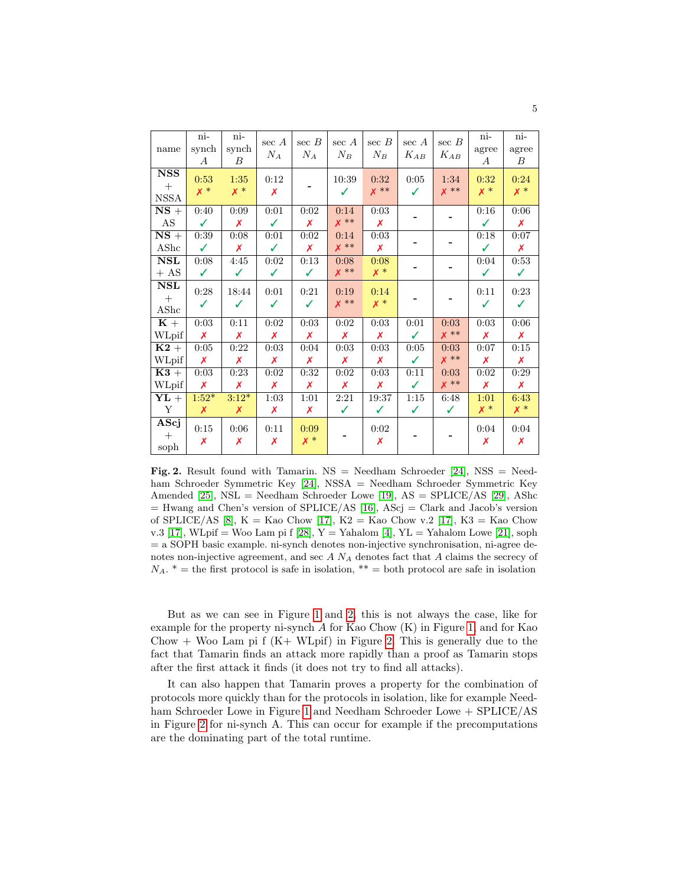| name                                  | ni-<br>synch<br>$\boldsymbol{A}$ | ni-<br>synch<br>B | $\sec A$<br>$N_A$    | sec B<br>$N_{A}$     | $\sec A$<br>$N_B$          | $sec\ B$<br>$N_B$          | $\sec A$<br>$K_{AB}$ | sec $\cal B$<br>$K_{AB}$ | $_{\rm ni-}$<br>agree<br>$\boldsymbol{A}$ | ni-<br>agree<br>В        |
|---------------------------------------|----------------------------------|-------------------|----------------------|----------------------|----------------------------|----------------------------|----------------------|--------------------------|-------------------------------------------|--------------------------|
| <b>NSS</b><br>$+$<br><b>NSSA</b>      | 0:53<br>$x *$                    | 1:35<br>$x *$     | $0\mathord:12$<br>X  |                      | 10:39<br>✓                 | 0:32<br>$x**$              | 0:05<br>✓            | 1:34<br>$x**$            | 0:32<br>$x *$                             | 0:24<br>$x *$            |
| $NS +$<br>$\mathbf{A}\mathbf{S}$      | 0:40<br>✓                        | 0:09<br>X         | 0:01<br>$\checkmark$ | 0:02<br>X            | 0:14<br>$x**$              | 0:03<br>X                  |                      |                          | 0:16<br>$\checkmark$                      | 0:06<br>$\boldsymbol{x}$ |
| $NS +$<br>AShc                        | 0:39<br>✓                        | $0.08\,$<br>Х     | 0:01<br>✓            | 0:02<br>X            | 0:14<br>$x**$              | 0:03<br>$\pmb{\mathsf{x}}$ |                      |                          | 0:18<br>✓                                 | 0:07<br>X                |
| <b>NSL</b><br>$+AS$                   | 0:08<br>✓                        | 4:45<br>✓         | 0:02<br>✓            | 0:13<br>$\checkmark$ | 0:08<br>$x**$              | 0:08<br>$x *$              |                      |                          | 0:04<br>✓                                 | 0:53<br>✓                |
| <b>NSL</b><br>$\! + \!\!\!\!$<br>AShc | 0:28<br>✓                        | 18:44<br>✓        | 0:01<br>✓            | 0:21<br>✓            | 0:19<br>$x**$              | 0:14<br>$x *$              |                      |                          | 0:11<br>✓                                 | 0:23<br>✓                |
| $K +$<br>WLpif                        | 0:03<br>X                        | 0:11<br>Х         | 0:02<br>X            | 0:03<br>X            | 0:02<br>Х                  | 0:03<br>X                  | 0:01<br>✓            | 0:03<br>$x**$            | 0:03<br>X                                 | 0:06<br>X                |
| $K2+$<br>WLpif                        | 0:05<br>X                        | 0:22<br>Х         | 0:03<br>X            | 0:04<br>X            | 0:03<br>Х                  | 0:03<br>X                  | 0:05<br>✓            | 0:03<br>$x**$            | 0:07<br>X                                 | 0:15<br>X                |
| $K3+$<br>WLpif                        | 0:03<br>X                        | 0:23<br>X         | 0:02<br>Х            | 0:32<br>X            | 0:02<br>$\pmb{\mathsf{X}}$ | 0:03<br>Х                  | 0:11<br>✓            | 0:03<br>$x**$            | 0:02<br>X                                 | 0:29<br>$\boldsymbol{x}$ |
| ${\rm YL}$ +<br>$\mathbf Y$           | $1:52*$<br>Х                     | $3:12*$<br>X      | 1:03<br>Х            | 1:01<br>Х            | 2:21<br>✓                  | 19:37<br>✓                 | 1:15<br>✓            | 6:48<br>✓                | 1:01<br>$x *$                             | 6:43<br>$x *$            |
| AScj<br>$+$<br>soph                   | 0:15<br>X                        | 0:06<br>X         | 0:11<br>X            | 0:09<br>$x *$        |                            | 0:02<br>Х                  |                      |                          | 0:04<br>Х                                 | 0:04<br>Х                |

**Fig. 2.** Result found with Tamarin. NS = Needham Schroeder [24], NSS = Needham Schroeder Symmetric Key [24], NSSA = Needham Schroeder Symmetric Key Amended [25],  $NSL$  = Needham Schroeder Lowe [19],  $AS$  =  $SPLICE/AS$  [29], AShc  $=$  Hwang and Chen's version of SPLICE/AS [16], AScj  $=$  Clark and Jacob's version of SPLICE/AS [8], K = Kao Chow [17], K2 = Kao Chow v.2 [17], K3 = Kao Chow v.3 [17], WLpif = Woo Lam pi f [28], Y = Yahalom [4], YL = Yahalom Lowe [21], soph = a SOPH basic example. ni-synch denotes non-injective synchronisation, ni-agree denotes non-injective agreement, and sec  $A$   $N_A$  denotes fact that  $A$  claims the secrecy of  $N_A$ . \* = the first protocol is safe in isolation, \*\* = both protocol are safe in isolation

But as we can see in Figure 1 and 2, this is not always the case, like for example for the property ni-synch A for Kao Chow (K) in Figure 1, and for Kao Chow  $+$  Woo Lam pi f  $(K+ WL$ pif) in Figure 2. This is generally due to the fact that Tamarin finds an attack more rapidly than a proof as Tamarin stops after the first attack it finds (it does not try to find all attacks).

It can also happen that Tamarin proves a property for the combination of protocols more quickly than for the protocols in isolation, like for example Needham Schroeder Lowe in Figure 1 and Needham Schroeder Lowe + SPLICE/AS in Figure 2 for ni-synch A. This can occur for example if the precomputations are the dominating part of the total runtime.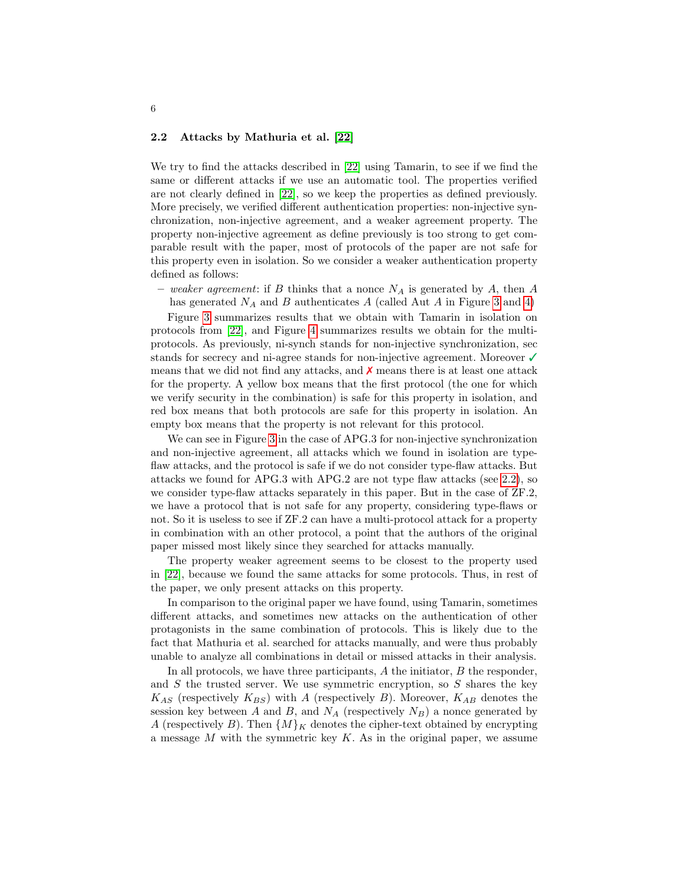#### 2.2 Attacks by Mathuria et al. [22]

We try to find the attacks described in [22] using Tamarin, to see if we find the same or different attacks if we use an automatic tool. The properties verified are not clearly defined in [22], so we keep the properties as defined previously. More precisely, we verified different authentication properties: non-injective synchronization, non-injective agreement, and a weaker agreement property. The property non-injective agreement as define previously is too strong to get comparable result with the paper, most of protocols of the paper are not safe for this property even in isolation. So we consider a weaker authentication property defined as follows:

– weaker agreement: if B thinks that a nonce  $N_A$  is generated by A, then A has generated  $N_A$  and B authenticates A (called Aut A in Figure 3 and 4)

Figure 3 summarizes results that we obtain with Tamarin in isolation on protocols from [22], and Figure 4 summarizes results we obtain for the multiprotocols. As previously, ni-synch stands for non-injective synchronization, sec stands for secrecy and ni-agree stands for non-injective agreement. Moreover  $\checkmark$ means that we did not find any attacks, and  $\chi$  means there is at least one attack for the property. A yellow box means that the first protocol (the one for which we verify security in the combination) is safe for this property in isolation, and red box means that both protocols are safe for this property in isolation. An empty box means that the property is not relevant for this protocol.

We can see in Figure 3 in the case of APG.3 for non-injective synchronization and non-injective agreement, all attacks which we found in isolation are typeflaw attacks, and the protocol is safe if we do not consider type-flaw attacks. But attacks we found for APG.3 with APG.2 are not type flaw attacks (see 2.2), so we consider type-flaw attacks separately in this paper. But in the case of ZF.2, we have a protocol that is not safe for any property, considering type-flaws or not. So it is useless to see if ZF.2 can have a multi-protocol attack for a property in combination with an other protocol, a point that the authors of the original paper missed most likely since they searched for attacks manually.

The property weaker agreement seems to be closest to the property used in [22], because we found the same attacks for some protocols. Thus, in rest of the paper, we only present attacks on this property.

In comparison to the original paper we have found, using Tamarin, sometimes different attacks, and sometimes new attacks on the authentication of other protagonists in the same combination of protocols. This is likely due to the fact that Mathuria et al. searched for attacks manually, and were thus probably unable to analyze all combinations in detail or missed attacks in their analysis.

In all protocols, we have three participants,  $A$  the initiator,  $B$  the responder, and  $S$  the trusted server. We use symmetric encryption, so  $S$  shares the key  $K_{AS}$  (respectively  $K_{BS}$ ) with A (respectively B). Moreover,  $K_{AB}$  denotes the session key between A and B, and  $N_A$  (respectively  $N_B$ ) a nonce generated by A (respectively  $B$ ). Then  $\{M\}_K$  denotes the cipher-text obtained by encrypting a message  $M$  with the symmetric key  $K$ . As in the original paper, we assume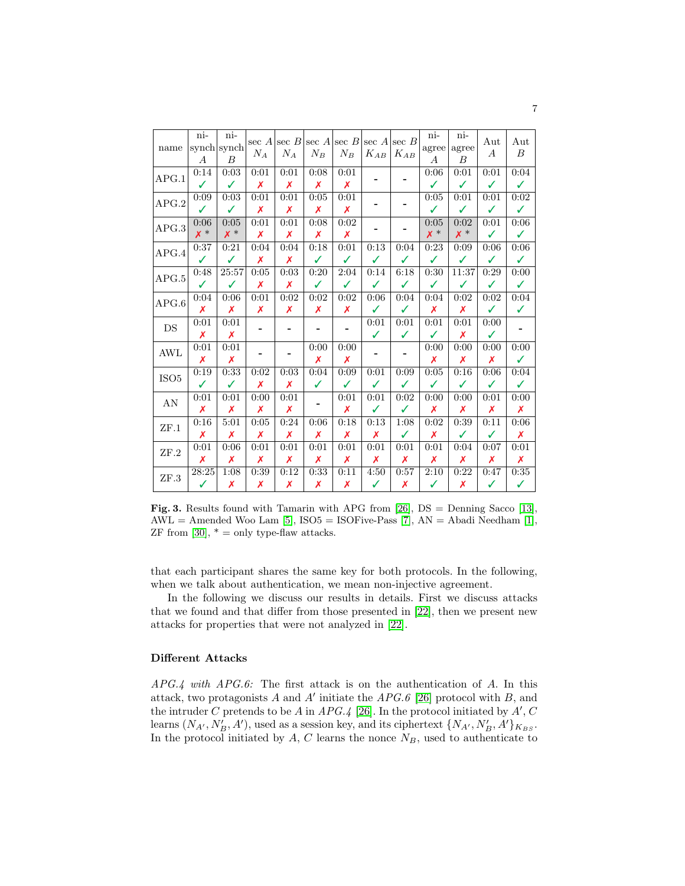| name             | ni-              | ni-<br>synch synch |       | sec $A$ sec $B$ |       | sec $A$ sec $B$ |          | sec $A$ sec $B$ | ni-<br>agree | ni-<br>agree     | Aut              | Aut          |
|------------------|------------------|--------------------|-------|-----------------|-------|-----------------|----------|-----------------|--------------|------------------|------------------|--------------|
|                  | $\boldsymbol{A}$ | $\boldsymbol{B}$   | $N_A$ | $N_A$           | $N_B$ | $N_B$           | $K_{AB}$ | $K_{AB}$        | А            | $\boldsymbol{B}$ | $\boldsymbol{A}$ | В            |
| APG.1            | 0:14             | 0:03               | 0:01  | 0:01            | 0:08  | 0:01            |          |                 | 0:06         | 0:01             | 0:01             | 0:04         |
|                  | ✓                | ✓                  | X     | X               | X     | X               |          |                 | ✓            | ✓                | ✓                | $\checkmark$ |
| APG.2            | 0:09             | 0:03               | 0:01  | 0:01            | 0:05  | 0:01            |          |                 | 0:05         | 0:01             | 0:01             | 0:02         |
|                  | ✓                | ✓                  | Х     | Х               | Х     | Х               |          |                 | ✓            | ✓                | ✓                | ✓            |
| APG.3            | 0:06             | 0:05               | 0:01  | 0:01            | 0:08  | 0:02            |          |                 | 0:05         | 0:02             | 0:01             | 0:06         |
|                  | $x *$            | $x *$              | X     | X               | X     | Х               |          |                 | $x *$        | $x *$            | ✓                | ✓            |
| APG.4            | 0:37             | 0:21               | 0:04  | 0:04            | 0:18  | 0:01            | 0:13     | 0:04            | 0:23         | 0:09             | 0:06             | 0:06         |
|                  | ✓                | ✓                  | Х     | Х               | ✓     | ✓               | ✓        | ✓               | ✓            | ✓                | ✓                | ✓            |
| $\rm{APG.5}$     | 0:48             | 25:57              | 0:05  | 0:03            | 0:20  | 2:04            | 0:14     | 6:18            | 0:30         | 11:37            | 0:29             | 0:00         |
|                  | ✓                | ✓                  | Х     | Х               | ✓     | ✓               | ✓        | ✓               | ✓            | $\checkmark$     | ✓                | ✓            |
| APG.6            | 0:04             | 0:06               | 0:01  | 0:02            | 0:02  | 0:02            | 0:06     | 0:04            | 0:04         | 0:02             | 0:02             | 0:04         |
|                  | X                | Х                  | Х     | Х               | Х     | Х               | ✓        | ✓               | Х            | Х                | ✓                | ✓            |
| DS               | 0:01             | 0:01               |       |                 |       |                 | 0:01     | 0:01            | 0:01         | 0:01             | 0:00             |              |
|                  | X                | X                  |       |                 |       |                 | ✓        | ✓               | ✓            | Х                | ✓                |              |
| <b>AWL</b>       | 0:01             | 0:01               |       |                 | 0:00  | 0:00            |          |                 | 0:00         | 0:00             | 0:00             | 0:00         |
|                  | X                | X                  |       |                 | Х     | Х               |          |                 | X            | X                | X                | ✓            |
| ISO <sub>5</sub> | 0:19             | 0:33               | 0:02  | 0:03            | 0:04  | 0:09            | 0:01     | 0:09            | 0:05         | 0:16             | 0:06             | 0:04         |
|                  | ✓                | ✓                  | Х     | X               | ✓     | ✓               | ✓        | ✓               | ✓            | ✓                | ✓                | ✓            |
| AN               | 0:01             | 0:01               | 0:00  | 0:01            | -     | 0:01            | 0:01     | 0:02            | 0:00         | 0:00             | 0:01             | 0:00         |
|                  | X                | X                  | X     | X               |       | X               | ✓        | ✓               | X            | X                | X                | Х            |
| ZF.1             | 0:16             | 5:01               | 0:05  | 0:24            | 0:06  | 0:18            | 0:13     | 1:08            | 0:02         | 0:39             | 0:11             | 0:06         |
|                  | X                | X                  | X     | X               | X     | Х               | X        | ✓               | X            | ✓                | ✓                | Х            |
| ZF.2             | 0:01             | 0:06               | 0:01  | 0:01            | 0:01  | 0:01            | 0:01     | 0:01            | 0:01         | 0:04             | 0:07             | 0:01         |
|                  | X                | X                  | X     | X               | X     | X               | X        | X               | Х            | X                | X                | Х            |
| ZF.3             | 28:25            | 1:08               | 0:39  | 0:12            | 0:33  | 0:11            | 4:50     | 0:57            | 2:10         | 0:22             | 0:47             | 0:35         |
|                  | ✓                | X                  | X     | Х               | Х     | Х               | ✓        | Х               | ✓            | X                | ✓                | ✓            |

Fig. 3. Results found with Tamarin with APG from [26],  $DS =$  Denning Sacco [13],  $AWL = A$ mended Woo Lam [5], ISO5 = ISOFive-Pass [7],  $AN = Abadi$  Needham [1], ZF from  $[30]$ ,  $* =$  only type-flaw attacks.

that each participant shares the same key for both protocols. In the following, when we talk about authentication, we mean non-injective agreement.

In the following we discuss our results in details. First we discuss attacks that we found and that differ from those presented in [22], then we present new attacks for properties that were not analyzed in [22].

## Different Attacks

APG.4 with APG.6: The first attack is on the authentication of A. In this attack, two protagonists  $A$  and  $A'$  initiate the  $APG.6$  [26] protocol with  $B$ , and the intruder C pretends to be A in  $APG.4$  [26]. In the protocol initiated by  $A', C$ learns  $(N_{A'}, N'_{B}, A')$ , used as a session key, and its ciphertext  $\{N_{A'}, N'_{B}, A'\}_{K_{BS}}$ . In the protocol initiated by  $A, C$  learns the nonce  $N_B$ , used to authenticate to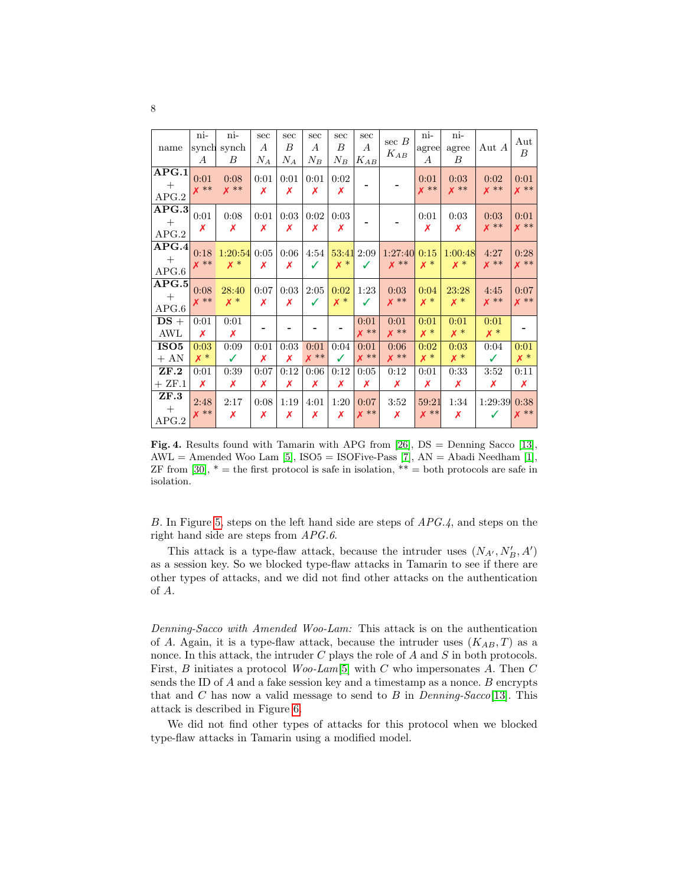|                                               | ni-              | ni-         | sec              | sec              | sec   | sec              | sec              |          | ni-   | ni-     |         |       |
|-----------------------------------------------|------------------|-------------|------------------|------------------|-------|------------------|------------------|----------|-------|---------|---------|-------|
| name                                          |                  | synch synch | $\boldsymbol{A}$ | $\boldsymbol{B}$ | А     | $\boldsymbol{B}$ | $\boldsymbol{A}$ | $\sec B$ | agree | agree   | Aut $A$ | Aut   |
|                                               | $\boldsymbol{A}$ | В           | $N_A$            | $N_A$            | $N_B$ | $N_B$            | $K_{AB}$         | $K_{AB}$ | А     | B       |         | В     |
| $AP\overline{G.1}$                            | 0:01             | 0:08        | 0:01             | 0:01             | 0:01  | 0:02             |                  |          | 0:01  | 0:03    | 0:02    | 0:01  |
| $^{+}$                                        | $x**$            | $x**$       | X                | Х                | Х     | Х                |                  |          | $x**$ | $x**$   | $x**$   | $x**$ |
| APG.2                                         |                  |             |                  |                  |       |                  |                  |          |       |         |         |       |
| APG.3                                         | 0:01             | 0:08        | 0:01             | 0:03             | 0:02  | 0:03             |                  |          | 0:01  | 0:03    | 0:03    | 0:01  |
| $^{+}$                                        | Х                | X           | X                | Х                | x     | Х                |                  |          | X     | X       | $x**$   | $x**$ |
| APG.2                                         |                  |             |                  |                  |       |                  |                  |          |       |         |         |       |
| APG.4                                         | 0:18             | 1:20:54     | 0:05             | 0:06             | 4:54  |                  | 53:41 2:09       | 1:27:40  | 0:15  | 1:00:48 | 4:27    | 0:28  |
| $^{+}$                                        | $x**$            | $x *$       | X                | Х                | ✓     | $x *$            | ✓                | $x**$    | $x *$ | $x *$   | $x**$   | $x**$ |
| APG.6                                         |                  |             |                  |                  |       |                  |                  |          |       |         |         |       |
| $\mathbf{A}\overline{\mathbf{P}\mathbf{G}.5}$ | 0:08             | 28:40       | 0:07             | 0:03             | 2:05  | 0:02             | 1:23             | 0:03     | 0:04  | 23:28   | 4:45    | 0:07  |
| $^{+}$                                        | $x**$            | $x *$       | X                | Х                | ✓     | $x *$            | ✓                | $x**$    | $x *$ | $x *$   | $x**$   | $x**$ |
| APG.6                                         |                  |             |                  |                  |       |                  |                  |          |       |         |         |       |
| $DS +$                                        | 0:01             | 0:01        |                  |                  |       |                  | 0:01             | 0:01     | 0:01  | 0:01    | 0:01    |       |
| AWL                                           | Х                | X           |                  |                  |       |                  | $x**$            | $x**$    | $x *$ | $x *$   | $x *$   |       |
| ISO <sub>5</sub>                              | 0:03             | 0:09        | 0:01             | 0:03             | 0:01  | 0:04             | 0:01             | 0:06     | 0:02  | 0:03    | 0:04    | 0:01  |
| $+ AN$                                        | $x *$            | ✓           | X                | X                | $x**$ | ✓                | $x**$            | $x**$    | $x *$ | $x *$   | ✓       | $x *$ |
| ZF.2                                          | 0:01             | 0:39        | 0:07             | 0:12             | 0:06  | 0:12             | 0:05             | 0:12     | 0:01  | 0:33    | 3:52    | 0:11  |
| $+$ ZF.1                                      | X                | X           | X                | Х                | Х     | Х                | Х                | X        | Х     | X       | Х       | Х     |
| ZF.3                                          | 2:48             | 2:17        | 0:08             | 1:19             | 4:01  | 1:20             | 0:07             | 3:52     | 59:21 | 1:34    | 1:29:39 | 0:38  |
| $^{+}$                                        | $x**$            | X           | Х                | Х                | Х     | X                | $x**$            | Х        | $x**$ | Х       | ✓       | $x**$ |
| APG.2                                         |                  |             |                  |                  |       |                  |                  |          |       |         |         |       |

Fig. 4. Results found with Tamarin with APG from [26],  $DS =$  Denning Sacco [13],  $AWL =$  Amended Woo Lam [5], ISO5 = ISOFive-Pass [7],  $AN =$  Abadi Needham [1], ZF from [30],  $* =$  the first protocol is safe in isolation,  $** =$  both protocols are safe in isolation.

B. In Figure 5, steps on the left hand side are steps of APG.4, and steps on the right hand side are steps from APG.6.

This attack is a type-flaw attack, because the intruder uses  $(N_{A'}, N'_{B}, A')$ as a session key. So we blocked type-flaw attacks in Tamarin to see if there are other types of attacks, and we did not find other attacks on the authentication of A.

Denning-Sacco with Amended Woo-Lam: This attack is on the authentication of A. Again, it is a type-flaw attack, because the intruder uses  $(K_{AB}, T)$  as a nonce. In this attack, the intruder  $C$  plays the role of  $A$  and  $S$  in both protocols. First, B initiates a protocol Woo-Lam<sup>[5]</sup> with C who impersonates A. Then C sends the ID of  $A$  and a fake session key and a timestamp as a nonce.  $B$  encrypts that and C has now a valid message to send to B in Denning-Sacco[13]. This attack is described in Figure 6.

We did not find other types of attacks for this protocol when we blocked type-flaw attacks in Tamarin using a modified model.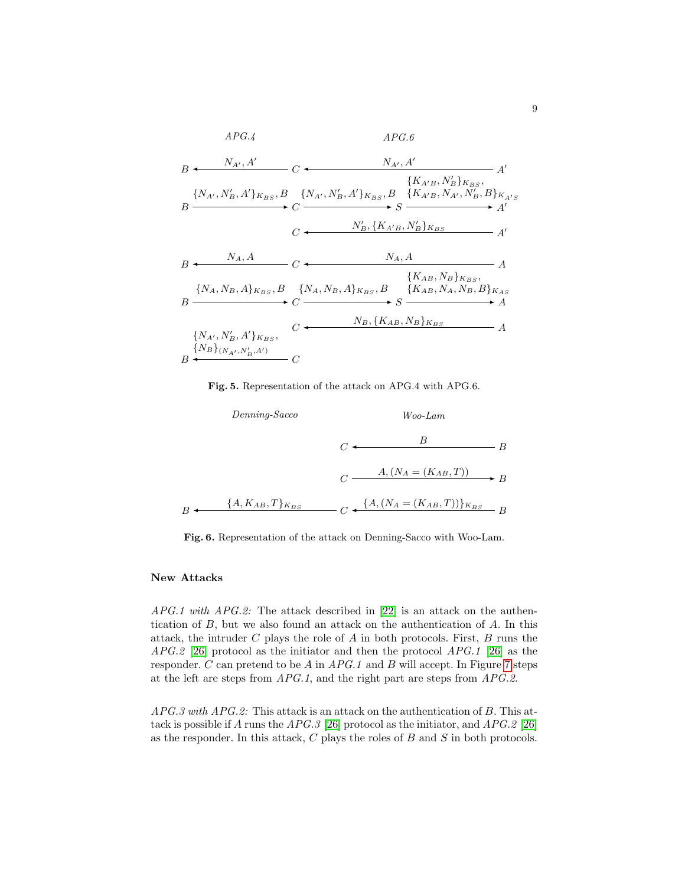$$
APG.4 \t\hskip 1.6cm APG.6
$$

$$
B \leftarrow N_{A'}, A'
$$
\n
$$
C \leftarrow N_{A'}, A'
$$
\n
$$
\{K_{A'B}, N'_B\}_{K_{BS}},
$$
\n
$$
B \xrightarrow{\{N_{A'}, N'_B, A'\}_{K_{BS}}, B} \{N_{A', N'_B, B\}_{K_{AS}}, S\}
$$
\n
$$
C \leftarrow N'_{B}, \{K_{A'B}, N_{A', N'_B}, B\}_{K_{A',S}}
$$
\n
$$
C \leftarrow N'_{B}, \{K_{A'B}, N'_B\}_{K_{BS}}
$$
\n
$$
A'
$$
\n
$$
B \leftarrow N_{A}, A
$$
\n
$$
C \leftarrow N_{A}, A
$$
\n
$$
C \leftarrow N_{A}, A
$$
\n
$$
C \leftarrow N_{A}, A
$$
\n
$$
\{K_{AB}, N_B\}_{K_{BS}}, A'
$$
\n
$$
A
$$
\n
$$
\{N_{A}, N_B, A\}_{K_{BS}}, B \leftarrow N'_{B}, \{K_{AB}, N_A, N_B, B\}_{K_{AS}}
$$
\n
$$
C \leftarrow N_{B}, \{K_{AB}, N_B\}_{K_{BS}}
$$
\n
$$
S \xrightarrow{\{N_{A'}, N'_B, A'\}_{K_{BS}}}, C \leftarrow N'_{B}, \{K_{AB}, N_B\}_{K_{BS}}
$$
\n
$$
A
$$
\n
$$
\{N_{A'}, N'_B, A'\}_{K_{BS}}, C \leftarrow N'_{B}, \{K_{AB}, N_B\}_{K_{BS}}
$$
\n
$$
B \leftarrow N'_{B}, \{K_{AB}, N_B\}_{K_{BS}}
$$

Fig. 5. Representation of the attack on APG.4 with APG.6.

Dening-Sacco

\n
$$
C \leftarrow B
$$
\n
$$
C \leftarrow B
$$
\n
$$
B \leftarrow \{A, K_{AB}, T\}_{K_{BS}} \qquad C \leftarrow A, (N_A = (K_{AB}, T)) \rightarrow B
$$
\n
$$
B \leftarrow \{A, K_{AB}, T\}_{K_{BS}} \qquad C \leftarrow \{A, (N_A = (K_{AB}, T))\}_{K_{BS}} \qquad B
$$

Fig. 6. Representation of the attack on Denning-Sacco with Woo-Lam.

## New Attacks

APG.1 with APG.2: The attack described in [22] is an attack on the authentication of B, but we also found an attack on the authentication of A. In this attack, the intruder  $C$  plays the role of  $A$  in both protocols. First,  $B$  runs the  $APG.2$  [26] protocol as the initiator and then the protocol  $APG.1$  [26] as the responder.  $C$  can pretend to be  $A$  in  $APG.1$  and  $B$  will accept. In Figure 7 steps at the left are steps from APG.1, and the right part are steps from APG.2.

APG.3 with APG.2: This attack is an attack on the authentication of B. This attack is possible if A runs the APG.3 [26] protocol as the initiator, and APG.2 [26] as the responder. In this attack,  $C$  plays the roles of  $B$  and  $S$  in both protocols.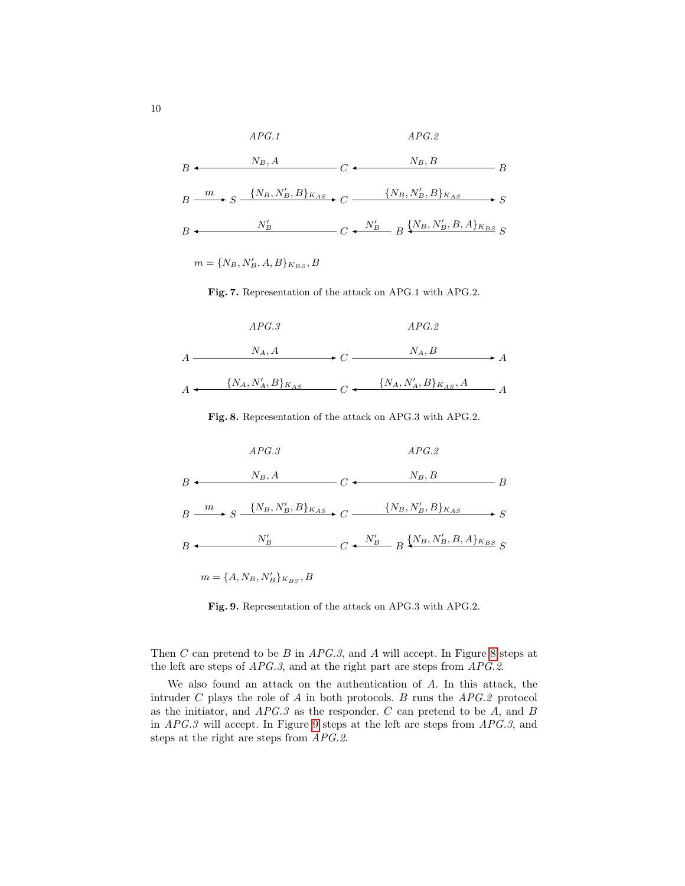$$
APG.1 \tAPG.2
$$
\n
$$
B \leftarrow N_B, A \t N_B, B \t B
$$
\n
$$
B \xrightarrow{m} S \xrightarrow{\{N_B, N'_B, B\}_{K_{AS}}} C \xrightarrow{\{N_B, N'_B, B\}_{K_{AS}}} S
$$
\n
$$
B \leftarrow N'_B \t N'_B \t \t \t N'_B \t \t \t N'_B \t N'_B, B, A\}_{K_{BS}} S
$$

 $m = \{N_B, N'_B, A, B\}_{K_{BS}}, B$ 

Fig. 7. Representation of the attack on APG.1 with APG.2.



Fig. 8. Representation of the attack on APG.3 with APG.2.

|                  | APG.3                                                                                                     |  | APG.2    |  |
|------------------|-----------------------------------------------------------------------------------------------------------|--|----------|--|
| $\boldsymbol{B}$ | $N_B, A$                                                                                                  |  | $N_B, B$ |  |
|                  | $B \xrightarrow{m} S \xrightarrow{\{N_B, N'_B, B\}_{K_{AS}}} C \xrightarrow{\{N_B, N'_B, B\}_{K_{AS}}} S$ |  |          |  |
| $\boldsymbol{B}$ | $\frac{N'_B}{C}$ $\frac{N'_B}{C}$ $\frac{N'_B}{B}$ $\frac{N_B, N'_B, B, A}_{K_{BS}}}{S}$                  |  |          |  |
|                  | $m = \{A, N_B, N'_B\}_{K_{BS}}, B$                                                                        |  |          |  |

Fig. 9. Representation of the attack on APG.3 with APG.2.

Then  $C$  can pretend to be  $B$  in  $APG.3$ , and  $A$  will accept. In Figure 8 steps at the left are steps of  $APG.3$ , and at the right part are steps from  $APG.2$ .

We also found an attack on the authentication of A. In this attack, the intruder  $C$  plays the role of  $A$  in both protocols.  $B$  runs the  $APG.2$  protocol as the initiator, and  $APG.3$  as the responder. C can pretend to be A, and B in APG.3 will accept. In Figure 9 steps at the left are steps from APG.3, and steps at the right are steps from APG.2.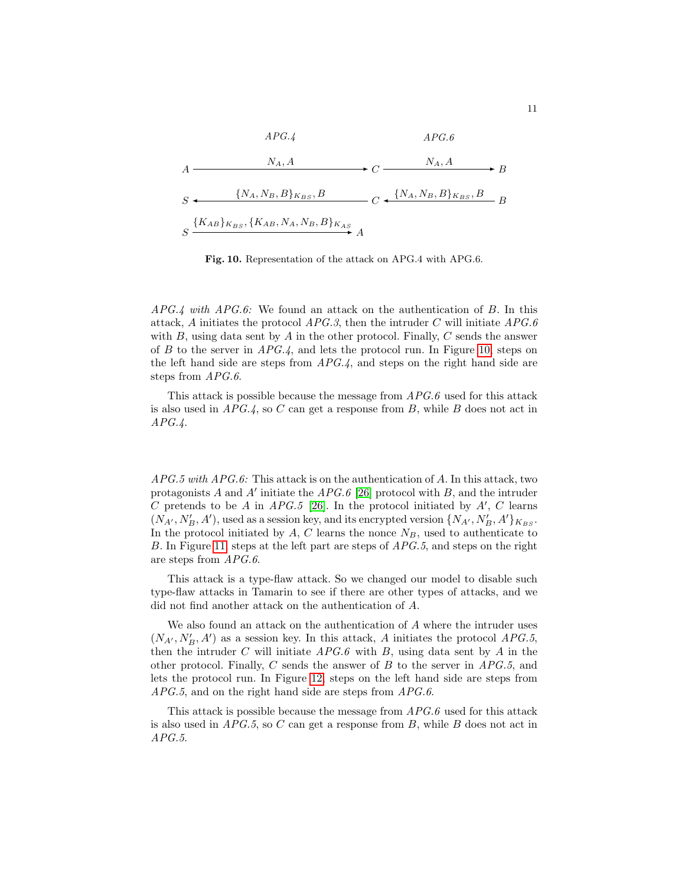

Fig. 10. Representation of the attack on APG.4 with APG.6.

 $APG.4$  with  $APG.6$ : We found an attack on the authentication of B. In this attack, A initiates the protocol  $APG.3$ , then the intruder C will initiate  $APG.6$ with  $B$ , using data sent by  $A$  in the other protocol. Finally,  $C$  sends the answer of B to the server in  $APG.4$ , and lets the protocol run. In Figure 10, steps on the left hand side are steps from  $APG.4$ , and steps on the right hand side are steps from  $APG.6$ .

This attack is possible because the message from  $APG.6$  used for this attack is also used in  $APG.4$ , so C can get a response from B, while B does not act in  $APG.4.$ 

APG.5 with APG.6: This attack is on the authentication of A. In this attack, two protagonists A and A' initiate the  $APG.6$  [26] protocol with B, and the intruder C pretends to be A in  $APG.5$  [26]. In the protocol initiated by  $A', C$  learns  $(N_{A'}, N'_{B}, A')$ , used as a session key, and its encrypted version  $\{N_{A'}, N'_{B}, A'\}_{K_{BS}}$ . In the protocol initiated by  $A, C$  learns the nonce  $N_B$ , used to authenticate to B. In Figure 11, steps at the left part are steps of APG.5, and steps on the right are steps from APG.6.

This attack is a type-flaw attack. So we changed our model to disable such type-flaw attacks in Tamarin to see if there are other types of attacks, and we did not find another attack on the authentication of A.

We also found an attack on the authentication of A where the intruder uses  $(N_{A'}, N'_{B}, A')$  as a session key. In this attack, A initiates the protocol  $APG.5$ , then the intruder C will initiate  $APG.6$  with B, using data sent by A in the other protocol. Finally,  $C$  sends the answer of  $B$  to the server in  $APG.5$ , and lets the protocol run. In Figure 12, steps on the left hand side are steps from APG.5, and on the right hand side are steps from APG.6.

This attack is possible because the message from  $APG.6$  used for this attack is also used in  $APG.5$ , so  $C$  can get a response from  $B$ , while  $B$  does not act in APG.5.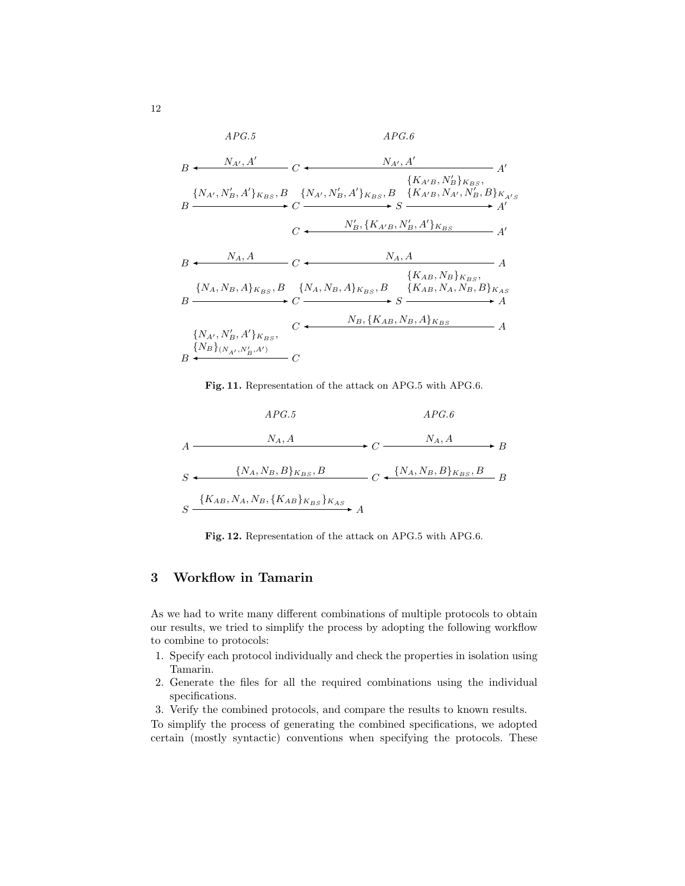$$
APG.5
$$

$$
B \leftarrow N_{A'}, A'
$$
\n
$$
C \leftarrow N_{A'}, A'
$$
\n
$$
\{K_{A'B}, N'_B\}_{K_{BS}},
$$
\n
$$
B \xrightarrow{\{N_{A'}, N'_B, A'\}_{K_{BS}}, B} \{N_{A'}, N'_B, A'\}_{K_{BS}}, B \xleftarrow{\{K_{A'B}, N_{A'}, N'_B, B\}_{K_{A'}S}} R'
$$
\n
$$
C \leftarrow N'_{B}, \{K_{A'B}, N'_B, A'\}_{K_{BS}} \xrightarrow{\{N_{A}, A\}} R'
$$
\n
$$
B \leftarrow N_{A}, A
$$
\n
$$
C \leftarrow N_{A}, A
$$
\n
$$
\{K_{AB}, N_B\}_{K_{BS}},
$$
\n
$$
B \xrightarrow{\{N_{A}, N_B, A\}_{K_{BS}}, B} \{N_{A}, N_B, A\}_{K_{BS}}, B \xleftarrow{\{K_{AB}, N_A, N_B, B\}_{K_{AS}}}\ R
$$
\n
$$
B \xleftarrow{\{N_{A'}, N'_B, A'\}_{K_{BS}}}, C \leftarrow N_B, \{K_{AB}, N_B, A\}_{K_{BS}} \xleftarrow{\{N_B\}_{(N_{A'}, N'_B, A')}} R
$$
\n
$$
B \leftarrow N_B, \{K_{AB}, N_B, A\}_{K_{BS}} \xleftarrow{\{N_B\}_{(N_{A'}, N'_B, A')}} C
$$

 $APG.6$ 

Fig. 11. Representation of the attack on APG.5 with APG.6.

$$
APG.5
$$
  
\n
$$
A \longrightarrow R
$$
  
\n
$$
A \longrightarrow C
$$
  
\n
$$
N_A, A \longrightarrow R
$$
  
\n
$$
S \longrightarrow \{N_A, N_B, B\}_{K_{BS}}, B \longrightarrow C \longrightarrow \{N_A, N_B, B\}_{K_{BS}}, B \longrightarrow B
$$
  
\n
$$
S \longrightarrow \{K_{AB}, N_A, N_B, \{K_{AB}\}_{K_{BS}}\}_{K_{AS}}
$$
  
\n
$$
A
$$

Fig. 12. Representation of the attack on APG.5 with APG.6.

# 3 Workflow in Tamarin

As we had to write many different combinations of multiple protocols to obtain our results, we tried to simplify the process by adopting the following workflow to combine to protocols:

- 1. Specify each protocol individually and check the properties in isolation using Tamarin.
- 2. Generate the files for all the required combinations using the individual specifications.
- 3. Verify the combined protocols, and compare the results to known results.

To simplify the process of generating the combined specifications, we adopted certain (mostly syntactic) conventions when specifying the protocols. These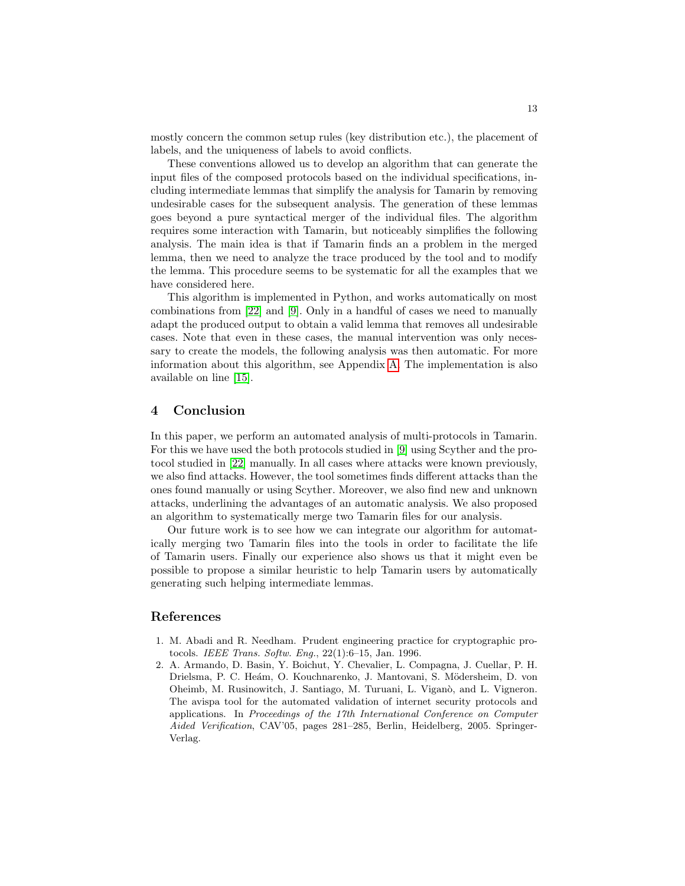mostly concern the common setup rules (key distribution etc.), the placement of labels, and the uniqueness of labels to avoid conflicts.

These conventions allowed us to develop an algorithm that can generate the input files of the composed protocols based on the individual specifications, including intermediate lemmas that simplify the analysis for Tamarin by removing undesirable cases for the subsequent analysis. The generation of these lemmas goes beyond a pure syntactical merger of the individual files. The algorithm requires some interaction with Tamarin, but noticeably simplifies the following analysis. The main idea is that if Tamarin finds an a problem in the merged lemma, then we need to analyze the trace produced by the tool and to modify the lemma. This procedure seems to be systematic for all the examples that we have considered here.

This algorithm is implemented in Python, and works automatically on most combinations from [22] and [9]. Only in a handful of cases we need to manually adapt the produced output to obtain a valid lemma that removes all undesirable cases. Note that even in these cases, the manual intervention was only necessary to create the models, the following analysis was then automatic. For more information about this algorithm, see Appendix A. The implementation is also available on line [15].

### 4 Conclusion

In this paper, we perform an automated analysis of multi-protocols in Tamarin. For this we have used the both protocols studied in [9] using Scyther and the protocol studied in [22] manually. In all cases where attacks were known previously, we also find attacks. However, the tool sometimes finds different attacks than the ones found manually or using Scyther. Moreover, we also find new and unknown attacks, underlining the advantages of an automatic analysis. We also proposed an algorithm to systematically merge two Tamarin files for our analysis.

Our future work is to see how we can integrate our algorithm for automatically merging two Tamarin files into the tools in order to facilitate the life of Tamarin users. Finally our experience also shows us that it might even be possible to propose a similar heuristic to help Tamarin users by automatically generating such helping intermediate lemmas.

## References

- 1. M. Abadi and R. Needham. Prudent engineering practice for cryptographic protocols. IEEE Trans. Softw. Eng., 22(1):6–15, Jan. 1996.
- 2. A. Armando, D. Basin, Y. Boichut, Y. Chevalier, L. Compagna, J. Cuellar, P. H. Drielsma, P. C. Heám, O. Kouchnarenko, J. Mantovani, S. Mödersheim, D. von Oheimb, M. Rusinowitch, J. Santiago, M. Turuani, L. Viganò, and L. Vigneron. The avispa tool for the automated validation of internet security protocols and applications. In Proceedings of the 17th International Conference on Computer Aided Verification, CAV'05, pages 281–285, Berlin, Heidelberg, 2005. Springer-Verlag.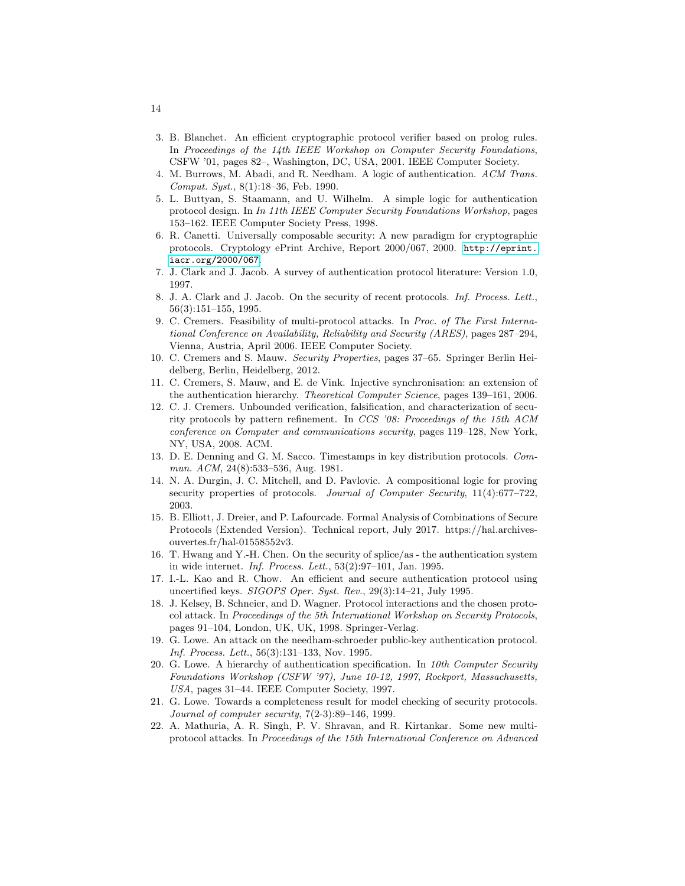- 3. B. Blanchet. An efficient cryptographic protocol verifier based on prolog rules. In Proceedings of the 14th IEEE Workshop on Computer Security Foundations, CSFW '01, pages 82–, Washington, DC, USA, 2001. IEEE Computer Society.
- 4. M. Burrows, M. Abadi, and R. Needham. A logic of authentication. ACM Trans. Comput. Syst., 8(1):18–36, Feb. 1990.
- 5. L. Buttyan, S. Staamann, and U. Wilhelm. A simple logic for authentication protocol design. In In 11th IEEE Computer Security Foundations Workshop, pages 153–162. IEEE Computer Society Press, 1998.
- 6. R. Canetti. Universally composable security: A new paradigm for cryptographic protocols. Cryptology ePrint Archive, Report 2000/067, 2000. [http://eprint.](http://eprint.iacr.org/2000/067) [iacr.org/2000/067](http://eprint.iacr.org/2000/067).
- 7. J. Clark and J. Jacob. A survey of authentication protocol literature: Version 1.0, 1997.
- 8. J. A. Clark and J. Jacob. On the security of recent protocols. Inf. Process. Lett., 56(3):151–155, 1995.
- 9. C. Cremers. Feasibility of multi-protocol attacks. In Proc. of The First International Conference on Availability, Reliability and Security (ARES), pages 287–294, Vienna, Austria, April 2006. IEEE Computer Society.
- 10. C. Cremers and S. Mauw. Security Properties, pages 37–65. Springer Berlin Heidelberg, Berlin, Heidelberg, 2012.
- 11. C. Cremers, S. Mauw, and E. de Vink. Injective synchronisation: an extension of the authentication hierarchy. Theoretical Computer Science, pages 139–161, 2006.
- 12. C. J. Cremers. Unbounded verification, falsification, and characterization of security protocols by pattern refinement. In CCS '08: Proceedings of the 15th ACM conference on Computer and communications security, pages 119–128, New York, NY, USA, 2008. ACM.
- 13. D. E. Denning and G. M. Sacco. Timestamps in key distribution protocols. Commun. ACM, 24(8):533–536, Aug. 1981.
- 14. N. A. Durgin, J. C. Mitchell, and D. Pavlovic. A compositional logic for proving security properties of protocols. Journal of Computer Security, 11(4):677–722, 2003.
- 15. B. Elliott, J. Dreier, and P. Lafourcade. Formal Analysis of Combinations of Secure Protocols (Extended Version). Technical report, July 2017. https://hal.archivesouvertes.fr/hal-01558552v3.
- 16. T. Hwang and Y.-H. Chen. On the security of splice/as the authentication system in wide internet. Inf. Process. Lett., 53(2):97–101, Jan. 1995.
- 17. I.-L. Kao and R. Chow. An efficient and secure authentication protocol using uncertified keys. SIGOPS Oper. Syst. Rev., 29(3):14–21, July 1995.
- 18. J. Kelsey, B. Schneier, and D. Wagner. Protocol interactions and the chosen protocol attack. In Proceedings of the 5th International Workshop on Security Protocols, pages 91–104, London, UK, UK, 1998. Springer-Verlag.
- 19. G. Lowe. An attack on the needham-schroeder public-key authentication protocol. Inf. Process. Lett., 56(3):131–133, Nov. 1995.
- 20. G. Lowe. A hierarchy of authentication specification. In 10th Computer Security Foundations Workshop (CSFW '97), June 10-12, 1997, Rockport, Massachusetts, USA, pages 31–44. IEEE Computer Society, 1997.
- 21. G. Lowe. Towards a completeness result for model checking of security protocols. Journal of computer security, 7(2-3):89–146, 1999.
- 22. A. Mathuria, A. R. Singh, P. V. Shravan, and R. Kirtankar. Some new multiprotocol attacks. In Proceedings of the 15th International Conference on Advanced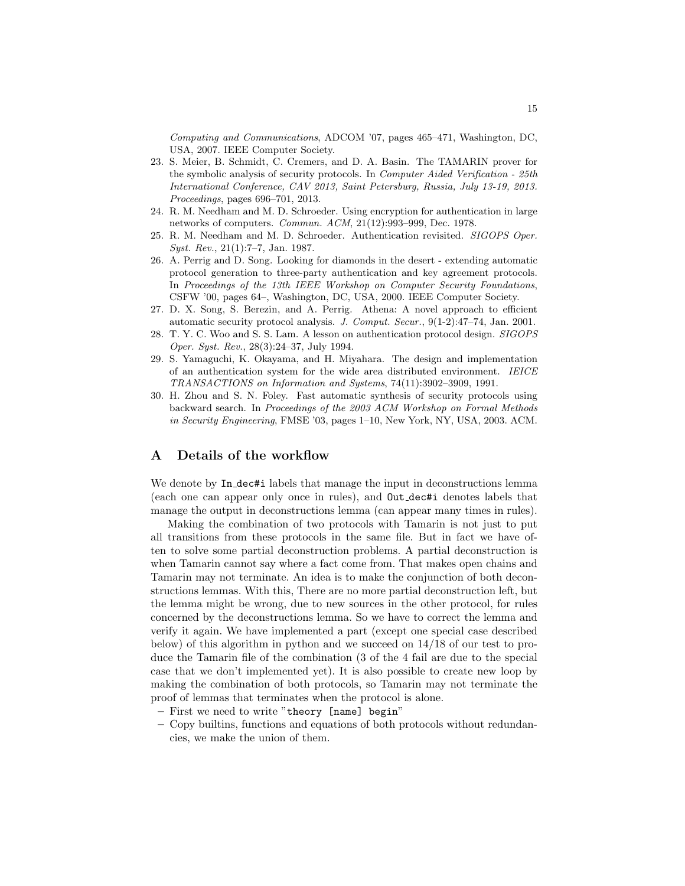Computing and Communications, ADCOM '07, pages 465–471, Washington, DC, USA, 2007. IEEE Computer Society.

- 23. S. Meier, B. Schmidt, C. Cremers, and D. A. Basin. The TAMARIN prover for the symbolic analysis of security protocols. In Computer Aided Verification - 25th International Conference, CAV 2013, Saint Petersburg, Russia, July 13-19, 2013. Proceedings, pages 696–701, 2013.
- 24. R. M. Needham and M. D. Schroeder. Using encryption for authentication in large networks of computers. Commun. ACM, 21(12):993–999, Dec. 1978.
- 25. R. M. Needham and M. D. Schroeder. Authentication revisited. SIGOPS Oper. Syst. Rev., 21(1):7–7, Jan. 1987.
- 26. A. Perrig and D. Song. Looking for diamonds in the desert extending automatic protocol generation to three-party authentication and key agreement protocols. In Proceedings of the 13th IEEE Workshop on Computer Security Foundations, CSFW '00, pages 64–, Washington, DC, USA, 2000. IEEE Computer Society.
- 27. D. X. Song, S. Berezin, and A. Perrig. Athena: A novel approach to efficient automatic security protocol analysis. J. Comput. Secur., 9(1-2):47–74, Jan. 2001.
- 28. T. Y. C. Woo and S. S. Lam. A lesson on authentication protocol design. SIGOPS Oper. Syst. Rev., 28(3):24–37, July 1994.
- 29. S. Yamaguchi, K. Okayama, and H. Miyahara. The design and implementation of an authentication system for the wide area distributed environment. IEICE TRANSACTIONS on Information and Systems, 74(11):3902–3909, 1991.
- 30. H. Zhou and S. N. Foley. Fast automatic synthesis of security protocols using backward search. In Proceedings of the 2003 ACM Workshop on Formal Methods in Security Engineering, FMSE '03, pages 1–10, New York, NY, USA, 2003. ACM.

# A Details of the workflow

We denote by In\_dec#i labels that manage the input in deconstructions lemma (each one can appear only once in rules), and Out dec#i denotes labels that manage the output in deconstructions lemma (can appear many times in rules).

Making the combination of two protocols with Tamarin is not just to put all transitions from these protocols in the same file. But in fact we have often to solve some partial deconstruction problems. A partial deconstruction is when Tamarin cannot say where a fact come from. That makes open chains and Tamarin may not terminate. An idea is to make the conjunction of both deconstructions lemmas. With this, There are no more partial deconstruction left, but the lemma might be wrong, due to new sources in the other protocol, for rules concerned by the deconstructions lemma. So we have to correct the lemma and verify it again. We have implemented a part (except one special case described below) of this algorithm in python and we succeed on 14/18 of our test to produce the Tamarin file of the combination (3 of the 4 fail are due to the special case that we don't implemented yet). It is also possible to create new loop by making the combination of both protocols, so Tamarin may not terminate the proof of lemmas that terminates when the protocol is alone.

- First we need to write "theory [name] begin"
- Copy builtins, functions and equations of both protocols without redundancies, we make the union of them.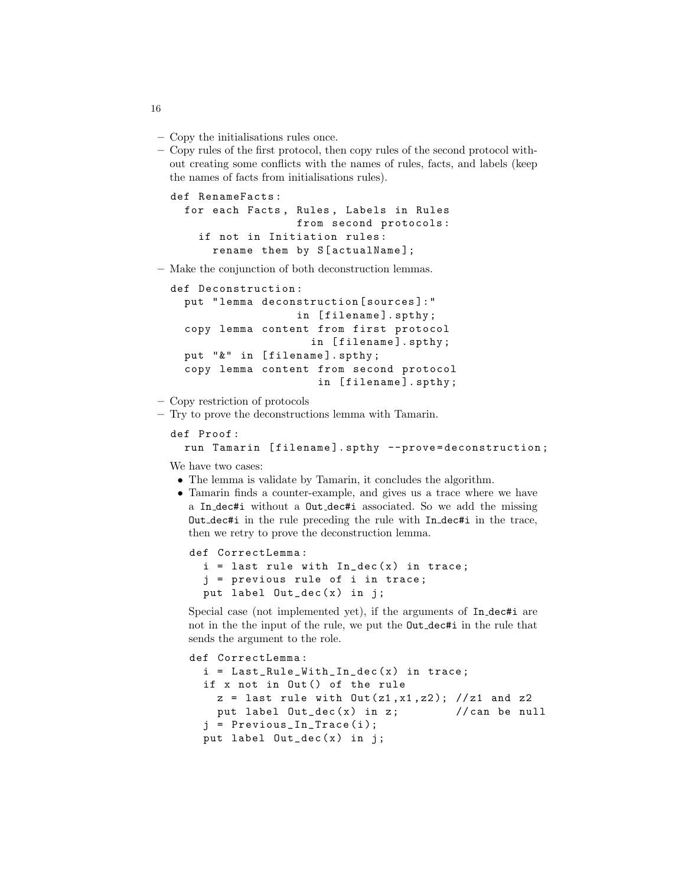- Copy the initialisations rules once.
- Copy rules of the first protocol, then copy rules of the second protocol without creating some conflicts with the names of rules, facts, and labels (keep the names of facts from initialisations rules).

```
def RenameFacts :
 for each Facts, Rules, Labels in Rules
                  from second protocols :
   if not in Initiation rules :
     rename them by S[actualName];
```
– Make the conjunction of both deconstruction lemmas.

```
def Deconstruction :
 put "lemma deconstruction [sources]:"
                 in [filename].spthy;
 copy lemma content from first protocol
                   in [filename].spthy;
put "&" in [filename].spthy;
 copy lemma content from second protocol
                    in [filename].spthy;
```

```
– Copy restriction of protocols
```
– Try to prove the deconstructions lemma with Tamarin.

```
def Proof :
```
run Tamarin [filename].spthy --prove=deconstruction;

We have two cases:

- The lemma is validate by Tamarin, it concludes the algorithm.
- Tamarin finds a counter-example, and gives us a trace where we have a In dec#i without a Out dec#i associated. So we add the missing Out dec#i in the rule preceding the rule with In dec#i in the trace, then we retry to prove the deconstruction lemma.

```
def CorrectLemma :
 i = last rule with In\_dec(x) in trace;
 j = previous rule of i in trace ;
 put label Out_dec(x) in j;
```
Special case (not implemented yet), if the arguments of In dec#i are not in the the input of the rule, we put the Out dec#i in the rule that sends the argument to the role.

```
def CorrectLemma :
i = Last_Rule_With_In_dec ( x ) in trace ;
if x not in Out () of the rule
   z = last rule with Out(z1, x1, z2); //z1 and z2
   put label Out\_dec(x) in z; // can be null
 j = Previous_In_Trace(i);
put label Out_dec(x) in j;
```
16